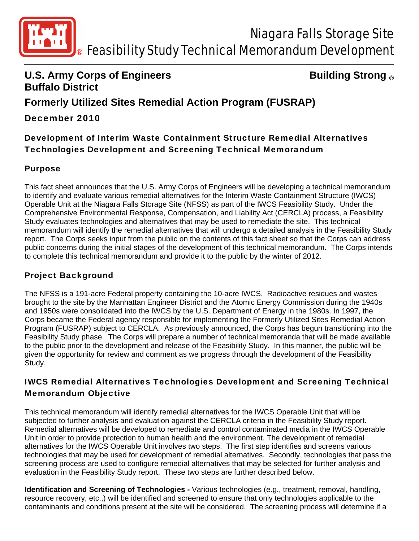

## **U.S. Army Corps of Engineers Constrained Building Strong ® Buffalo District**

# **Formerly Utilized Sites Remedial Action Program (FUSRAP)**

## December 2010

Development of Interim Waste Containment Structure Remedial Alternatives Technologies Development and Screening Technical Memorandum

#### Purpose

This fact sheet announces that the U.S. Army Corps of Engineers will be developing a technical memorandum to identify and evaluate various remedial alternatives for the Interim Waste Containment Structure (IWCS) Operable Unit at the Niagara Falls Storage Site (NFSS) as part of the IWCS Feasibility Study. Under the Comprehensive Environmental Response, Compensation, and Liability Act (CERCLA) process, a Feasibility Study evaluates technologies and alternatives that may be used to remediate the site. This technical memorandum will identify the remedial alternatives that will undergo a detailed analysis in the Feasibility Study report. The Corps seeks input from the public on the contents of this fact sheet so that the Corps can address public concerns during the initial stages of the development of this technical memorandum. The Corps intends to complete this technical memorandum and provide it to the public by the winter of 2012.

#### Project Background

The NFSS is a 191-acre Federal property containing the 10-acre IWCS. Radioactive residues and wastes brought to the site by the Manhattan Engineer District and the Atomic Energy Commission during the 1940s and 1950s were consolidated into the IWCS by the U.S. Department of Energy in the 1980s. In 1997, the Corps became the Federal agency responsible for implementing the Formerly Utilized Sites Remedial Action Program (FUSRAP) subject to CERCLA. As previously announced, the Corps has begun transitioning into the Feasibility Study phase. The Corps will prepare a number of technical memoranda that will be made available to the public prior to the development and release of the Feasibility Study. In this manner, the public will be given the opportunity for review and comment as we progress through the development of the Feasibility Study.

# IWCS Remedial Alternatives Technologies Development and Screening Technical Memorandum Objective

This technical memorandum will identify remedial alternatives for the IWCS Operable Unit that will be subjected to further analysis and evaluation against the CERCLA criteria in the Feasibility Study report. Remedial alternatives will be developed to remediate and control contaminated media in the IWCS Operable Unit in order to provide protection to human health and the environment. The development of remedial alternatives for the IWCS Operable Unit involves two steps. The first step identifies and screens various technologies that may be used for development of remedial alternatives. Secondly, technologies that pass the screening process are used to configure remedial alternatives that may be selected for further analysis and evaluation in the Feasibility Study report. These two steps are further described below.

**Identification and Screening of Technologies -** Various technologies (e.g., treatment, removal, handling, resource recovery, etc.,) will be identified and screened to ensure that only technologies applicable to the contaminants and conditions present at the site will be considered. The screening process will determine if a